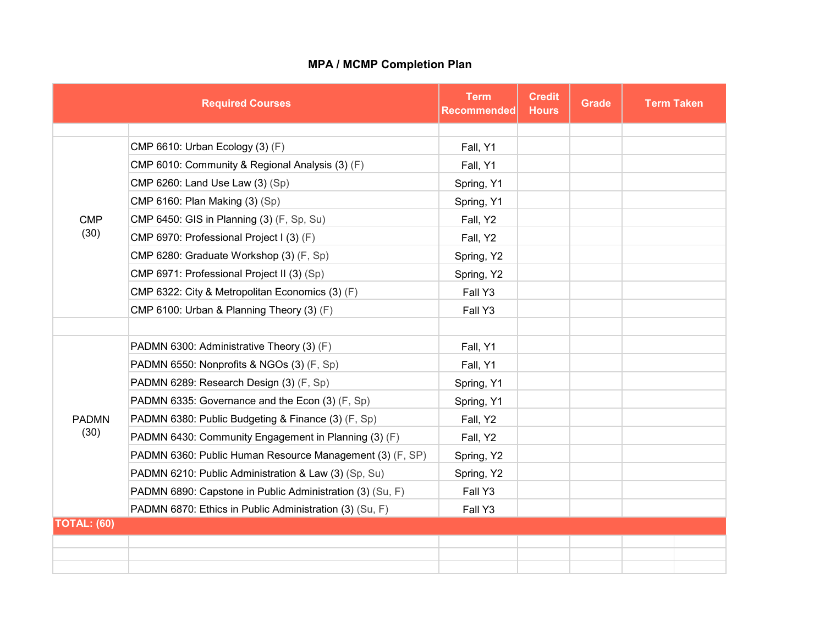## **MPA / MCMP Completion Plan**

|                      | <b>Required Courses</b>                                   | <b>Term</b><br><b>Recommended</b> | <b>Credit</b><br><b>Hours</b> | <b>Grade</b> | <b>Term Taken</b> |
|----------------------|-----------------------------------------------------------|-----------------------------------|-------------------------------|--------------|-------------------|
|                      |                                                           |                                   |                               |              |                   |
| <b>CMP</b><br>(30)   | CMP 6610: Urban Ecology (3) (F)                           | Fall, Y1                          |                               |              |                   |
|                      | CMP 6010: Community & Regional Analysis (3) (F)           | Fall, Y1                          |                               |              |                   |
|                      | CMP 6260: Land Use Law (3) (Sp)                           | Spring, Y1                        |                               |              |                   |
|                      | CMP 6160: Plan Making (3) (Sp)                            | Spring, Y1                        |                               |              |                   |
|                      | CMP 6450: GIS in Planning (3) (F, Sp, Su)                 | Fall, Y2                          |                               |              |                   |
|                      | CMP 6970: Professional Project I (3) (F)                  | Fall, Y2                          |                               |              |                   |
|                      | CMP 6280: Graduate Workshop (3) (F, Sp)                   | Spring, Y2                        |                               |              |                   |
|                      | CMP 6971: Professional Project II (3) (Sp)                | Spring, Y2                        |                               |              |                   |
|                      | CMP 6322: City & Metropolitan Economics (3) (F)           | Fall Y3                           |                               |              |                   |
|                      | CMP 6100: Urban & Planning Theory (3) (F)                 | Fall Y3                           |                               |              |                   |
|                      |                                                           |                                   |                               |              |                   |
| <b>PADMN</b><br>(30) | PADMN 6300: Administrative Theory (3) (F)                 | Fall, Y1                          |                               |              |                   |
|                      | PADMN 6550: Nonprofits & NGOs (3) (F, Sp)                 | Fall, Y1                          |                               |              |                   |
|                      | PADMN 6289: Research Design (3) (F, Sp)                   | Spring, Y1                        |                               |              |                   |
|                      | PADMN 6335: Governance and the Econ (3) (F, Sp)           | Spring, Y1                        |                               |              |                   |
|                      | PADMN 6380: Public Budgeting & Finance (3) (F, Sp)        | Fall, Y2                          |                               |              |                   |
|                      | PADMN 6430: Community Engagement in Planning (3) (F)      | Fall, Y2                          |                               |              |                   |
|                      | PADMN 6360: Public Human Resource Management (3) (F, SP)  | Spring, Y2                        |                               |              |                   |
|                      | PADMN 6210: Public Administration & Law (3) (Sp, Su)      | Spring, Y2                        |                               |              |                   |
|                      | PADMN 6890: Capstone in Public Administration (3) (Su, F) | Fall Y3                           |                               |              |                   |
|                      | PADMN 6870: Ethics in Public Administration (3) (Su, F)   | Fall Y3                           |                               |              |                   |
| <b>TOTAL: (60)</b>   |                                                           |                                   |                               |              |                   |
|                      |                                                           |                                   |                               |              |                   |
|                      |                                                           |                                   |                               |              |                   |